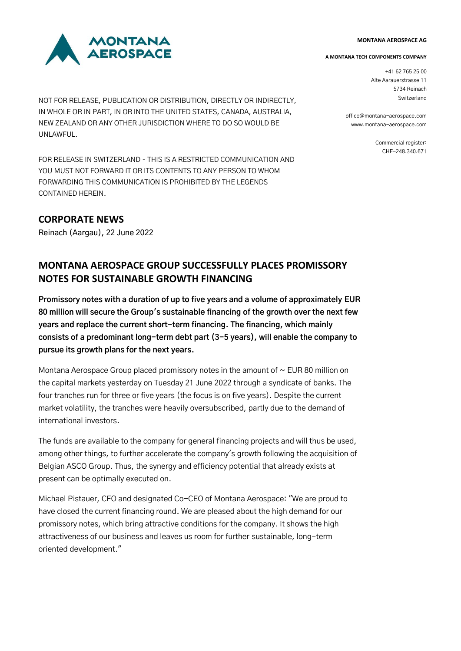#### **MONTANA AEROSPACE AG**



NOT FOR RELEASE, PUBLICATION OR DISTRIBUTION, DIRECTLY OR INDIRECTLY, IN WHOLE OR IN PART, IN OR INTO THE UNITED STATES, CANADA, AUSTRALIA, NEW ZEALAND OR ANY OTHER JURISDICTION WHERE TO DO SO WOULD BE UNLAWFUL.

FOR RELEASE IN SWITZERLAND – THIS IS A RESTRICTED COMMUNICATION AND YOU MUST NOT FORWARD IT OR ITS CONTENTS TO ANY PERSON TO WHOM FORWARDING THIS COMMUNICATION IS PROHIBITED BY THE LEGENDS CONTAINED HEREIN.

## **CORPORATE NEWS**

Reinach (Aargau), 22 June 2022

# **MONTANA AEROSPACE GROUP SUCCESSFULLY PLACES PROMISSORY NOTES FOR SUSTAINABLE GROWTH FINANCING**

**Promissory notes with a duration of up to five years and a volume of approximately EUR 80 million will secure the Group's sustainable financing of the growth over the next few years and replace the current short-term financing. The financing, which mainly consists of a predominant long-term debt part (3-5 years), will enable the company to pursue its growth plans for the next years.**

Montana Aerospace Group placed promissory notes in the amount of  $\sim$  EUR 80 million on the capital markets yesterday on Tuesday 21 June 2022 through a syndicate of banks. The four tranches run for three or five years (the focus is on five years). Despite the current market volatility, the tranches were heavily oversubscribed, partly due to the demand of international investors.

The funds are available to the company for general financing projects and will thus be used, among other things, to further accelerate the company's growth following the acquisition of Belgian ASCO Group. Thus, the synergy and efficiency potential that already exists at present can be optimally executed on.

Michael Pistauer, CFO and designated Co-CEO of Montana Aerospace: "We are proud to have closed the current financing round. We are pleased about the high demand for our promissory notes, which bring attractive conditions for the company. It shows the high attractiveness of our business and leaves us room for further sustainable, long-term oriented development."

#### **A MONTANA TECH COMPONENTS COMPANY**

+41 62 765 25 00 Alte Aarauerstrasse 11 5734 Reinach Switzerland

office@montana-aerospace.com www.montana-aerospace.com

> Commercial register: CHE-248.340.671